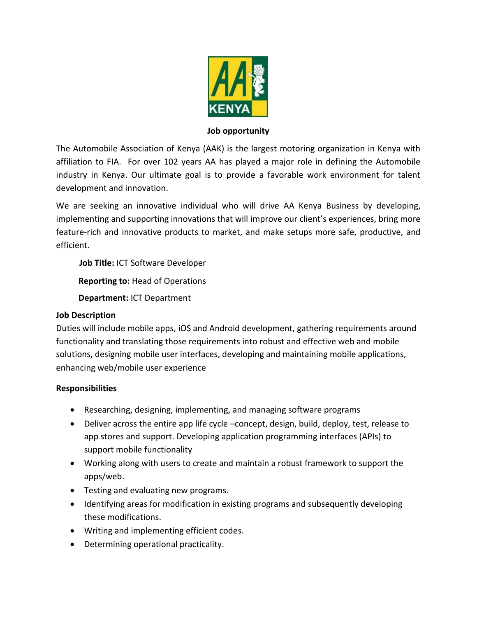

#### **Job opportunity**

The Automobile Association of Kenya (AAK) is the largest motoring organization in Kenya with affiliation to FIA. For over 102 years AA has played a major role in defining the Automobile industry in Kenya. Our ultimate goal is to provide a favorable work environment for talent development and innovation.

We are seeking an innovative individual who will drive AA Kenya Business by developing, implementing and supporting innovations that will improve our client's experiences, bring more feature-rich and innovative products to market, and make setups more safe, productive, and efficient.

 **Job Title:** ICT Software Developer

**Reporting to:** Head of Operations

**Department:** ICT Department

## **Job Description**

Duties will include mobile apps, iOS and Android development, gathering requirements around functionality and translating those requirements into robust and effective web and mobile solutions, designing mobile user interfaces, developing and maintaining mobile applications, enhancing web/mobile user experience

## **Responsibilities**

- Researching, designing, implementing, and managing software programs
- Deliver across the entire app life cycle –concept, design, build, deploy, test, release to app stores and support. Developing application programming interfaces (APIs) to support mobile functionality
- Working along with users to create and maintain a robust framework to support the apps/web.
- Testing and evaluating new programs.
- Identifying areas for modification in existing programs and subsequently developing these modifications.
- Writing and implementing efficient codes.
- Determining operational practicality.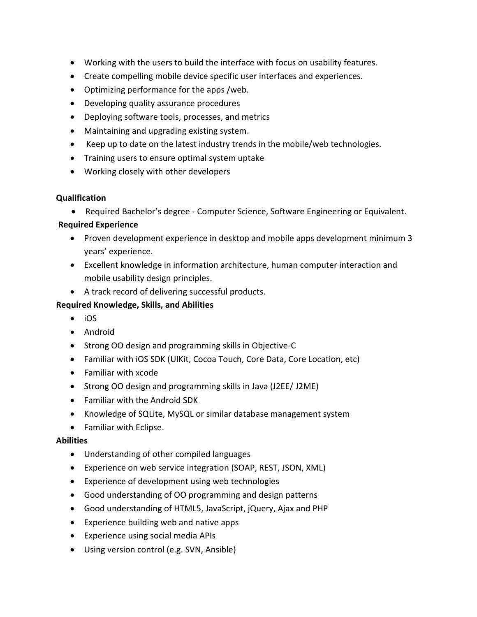- Working with the users to build the interface with focus on usability features.
- Create compelling mobile device specific user interfaces and experiences.
- Optimizing performance for the apps /web.
- Developing quality assurance procedures
- Deploying software tools, processes, and metrics
- Maintaining and upgrading existing system.
- Keep up to date on the latest industry trends in the mobile/web technologies.
- Training users to ensure optimal system uptake
- Working closely with other developers

#### **Qualification**

• Required Bachelor's degree - Computer Science, Software Engineering or Equivalent.

## **Required Experience**

- Proven development experience in desktop and mobile apps development minimum 3 years' experience.
- Excellent knowledge in information architecture, human computer interaction and mobile usability design principles.
- A track record of delivering successful products.

# **Required Knowledge, Skills, and Abilities**

- iOS
- Android
- Strong OO design and programming skills in Objective-C
- Familiar with iOS SDK (UIKit, Cocoa Touch, Core Data, Core Location, etc)
- Familiar with xcode
- Strong OO design and programming skills in Java (J2EE/ J2ME)
- Familiar with the Android SDK
- Knowledge of SQLite, MySQL or similar database management system
- Familiar with Eclipse.

## **Abilities**

- Understanding of other compiled languages
- Experience on web service integration (SOAP, REST, JSON, XML)
- Experience of development using web technologies
- Good understanding of OO programming and design patterns
- Good understanding of HTML5, JavaScript, jQuery, Ajax and PHP
- Experience building web and native apps
- Experience using social media APIs
- Using version control (e.g. SVN, Ansible)